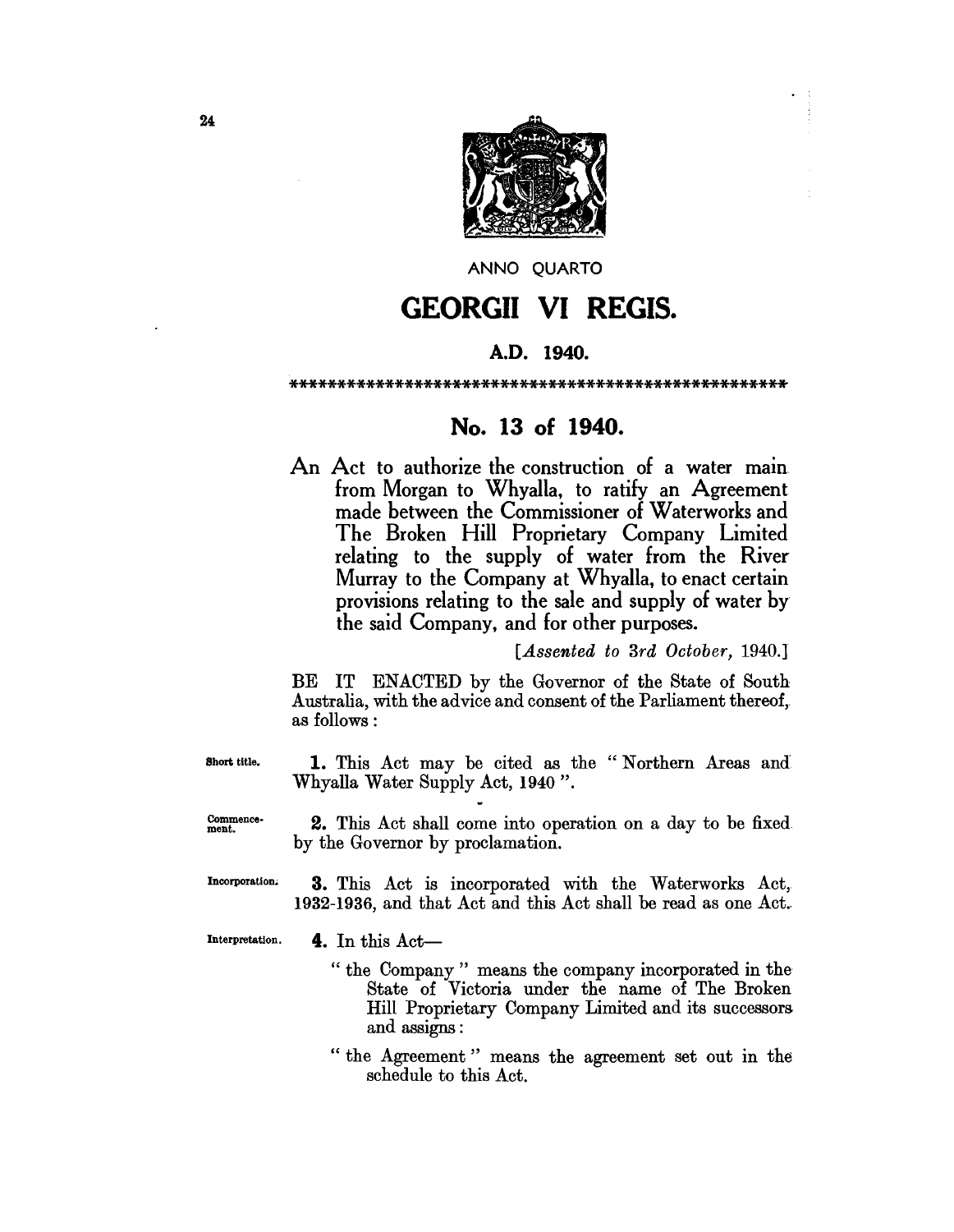

ANNO QUARTO

# GEORGII VI REGIS.

# A.D. 1940.

#### \*\*\*\*\*\*\*\*\*\*\*\*\*\*\*\*\*\*\*\*\*\*\*\*\*\*\*\*\*\*\*\*\*\*\*\*\*\*\*\*\*\*\*\*\*\*\*\*\*\*\*\*

# No. 13 of 1940.

An Act to authorize the construction of a water main from Morgan to Whyalla, to ratify an Agreement made between the Commissioner of Waterworks and The Broken Hill Proprietary Company Limited relating to the supply of water from the River Murray to the Company at Whyalla, to enact certain provisions relating to the sale and supply of water by the said Company, and for other purposes.

*[Assented to 3rd October, 1940.1* 

BE IT ENACTED by the Governor of the State of South Australia, with the advice and consent of the Parliament thereof, as follows:

Short title. 1. This Act may be cited as the "Northern Areas and Whyalla Water Supply Act, 1940".

Commence· ment. 2. This Act shall come into operation on a day to be fixed by the Governor by proclamation.

Incorporation. 3. This Act is incorporated with the Waterworks Act, 1932-1936, and that Act and this Act shall be read as one Act.

Interpretation.

- 4. In this  $Act-$ 
	- "the Company" means the company incorporated in the State of Victoria under the name of The Broken Hill Proprietary Company Limited and its successors and assigns :
	- "the Agreement" means the agreement set out in the schedule to this Act.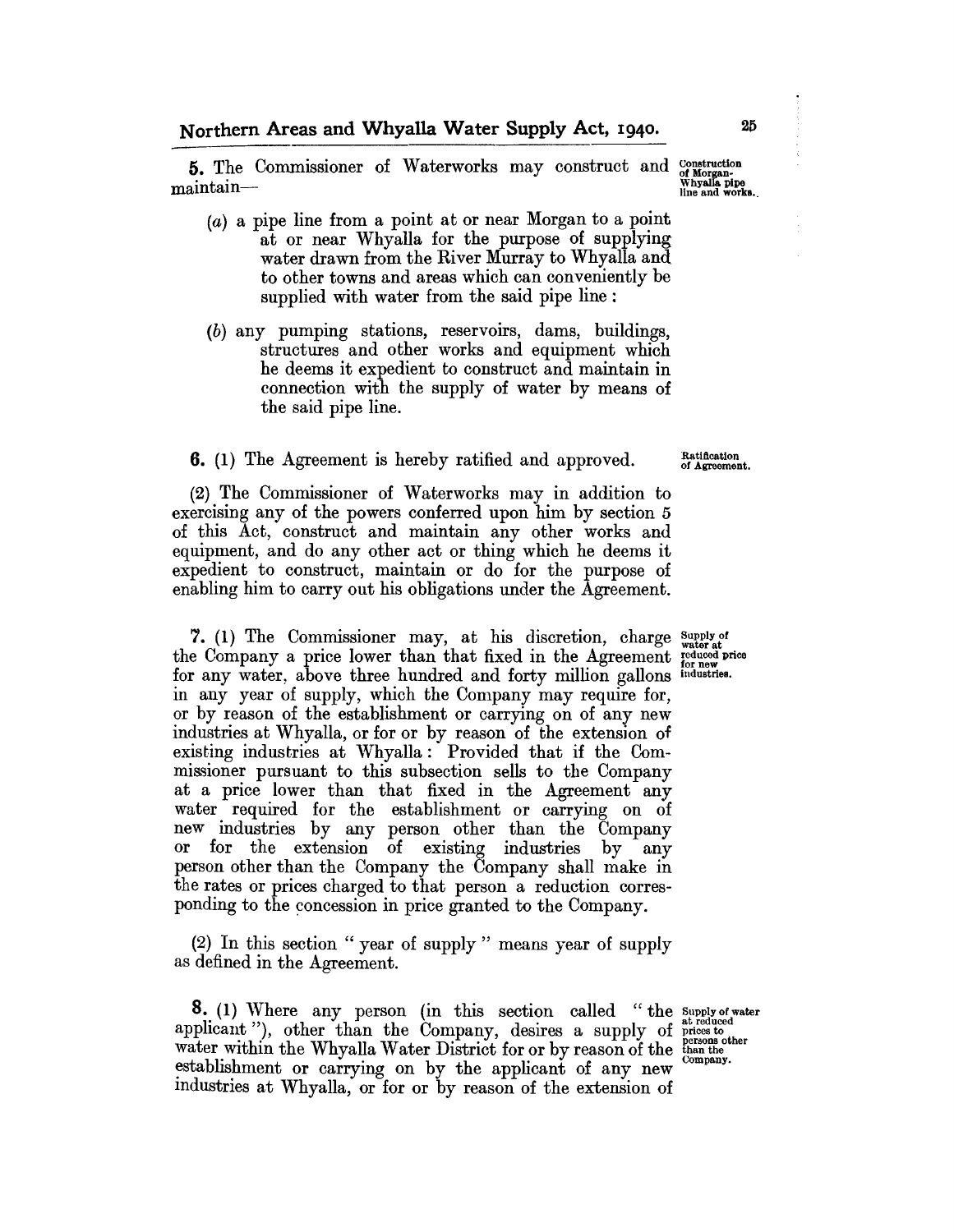**5.** The Commissioner of Waterworks may construct and construction of Morgan-<br>maintain-- . Whyalla pipe main and works.

- (a) a pipe line from a point at or near Morgan to a point at or near Whyalla for the purpose of supplying water drawn from the River Murray to Whyalla and to other towns and areas which can conveniently be supplied with water from the said pipe line:
- (b) any pumping stations, reservoirs, dams, buildings, structures and other works and equipment which he deems it expedient to construct and maintain in connection with the supply of water by means of the said pipe line.

#### **6.** (1) The Agreement is hereby ratified and approved.

(2) The Commissioner of Waterworks may in addition to exercising any of the powers conferred upon him by section 5 of this Act, construct and maintain any other works and equipment, and do any other act or thing which he deems it expedient to construct, maintain or do for the purpose of enabling him to carry out his obligations under the Agreement.

7. (1) The Commissioner may, at his discretion, charge  $_{\text{water at}}^{\text{Supply of}}$ the Company a price lower than that fixed in the Agreement reduced price for new rice for any water, above three hundred and forty million gallons industries. in any year of supply, which the Company may require for, or by reason of the establishment or carrying on of any new industries at Whyalla, or for or by reason of the extension of existing industries at Whyalla: Provided that if the Commissioner pursuant to this subsection sells to the Company at a price lower than that fixed in the Agreement any water required for the establishment or carrying on of new industries by any person other than the Company or for the extension of existing industries by any person other than the Company the Company shall make in the rates or prices charged to that person a reduction corresponding to the concession in price granted to the Company.

(2) In this section " year of supply" means year of supply as defined in the Agreement.

**8.** (1) Where any person (in this section called "the Supply of water **8.** (1) Where any person (in this section called "the supply of a<br>applicant "), other than the Company, desires a supply of prices to<br>water within the Whyelle Weter District for an by person of the gersons out approcess to water within the Whyalla Water District for or by reason of the than the company. establishment or carrying on by the applicant of any new industries at Whyalla, or for or by reason of the extension of

Ratiflcation of Agreement.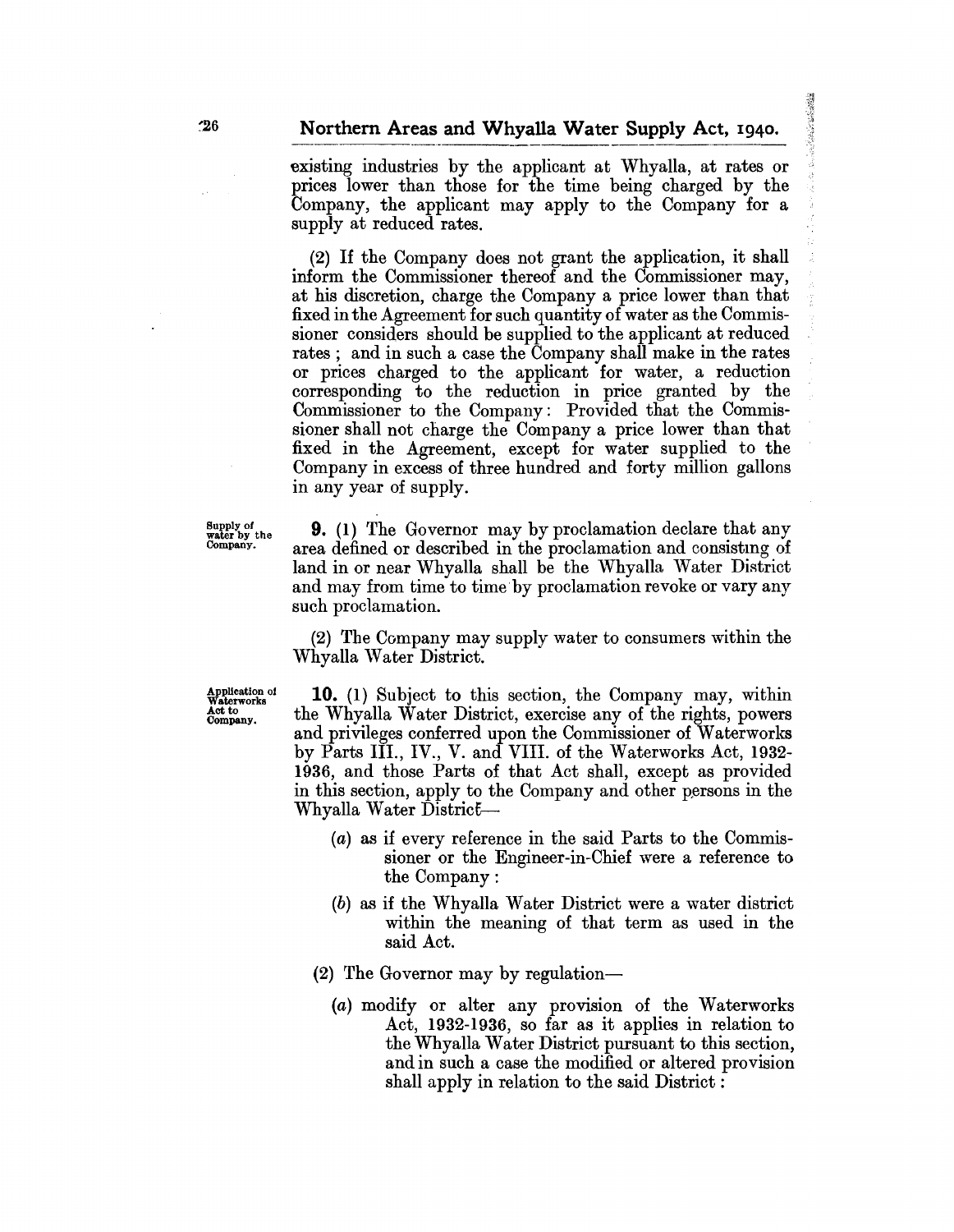**Teles of Secretary** 

existing industries by the applicant at Whyalla, at rates or prices lower than those for the time being charged by the Company, the applicant may apply to the Company for a supply at reduced rates.

(2) If the Company does not grant the application, it shall inform the Commissioner thereof and the Commissioner may, at his discretion, charge the Company a price lower than that fixed in the Agreement for such quantity of water as the Commissioner considers should be supplied to the applicant at reduced rates; and in such a case the Company shall make in the rates or prices charged to the applicant for water, a reduction corresponding to the reduction in price granted by the Commissioner to the Company: Provided that the Commissioner shall not charge the Company a price lower than that fixed in the Agreement, except for water supplied to the Company in excess of three hundred and forty million gallons in any year of supply.

 $\mathcal{F}_{\text{water}}^{\text{Supply of}}$  **9.** (1) The Governor may by proclamation declare that any company. area defined or described in the proclamation and consisting of land in or near Whyalla shall be the Whyalla Water District and may from time to time by proclamation revoke or vary any such proclamation.

> (2) The Company may supply water to consumers within the Whyalla Water District.

Application of Waterworks Aetto Company.

10. (1) Subject to this section, the Company may, within the Whyalla Water District, exercise any of the rights, powers and privileges conferred upon the Commissioner of Waterworks by Parts III., IV., V. and VIII. of the \Vaterworks Act, 1932- 1936, and those Parts of that Act shall, except as provided in this section, apply to the Company and other persons in the Whyalla Water District—

- (a) as if every reference in the said Parts to the Commissioner or the Engineer-in-Chief were a reference to the Company:
- (b) as if the Whyalla Water District were a water district within the meaning of that term as used in the said Act.
- (2) The Governor may by regulation-
	- (a) modify or alter any provision of the Waterworks Act, 1932-1936, so far as it applies in relation to the Whyalla Water District pursuant to this section, and in such a case the modified or altered provision shall apply in relation to the said District: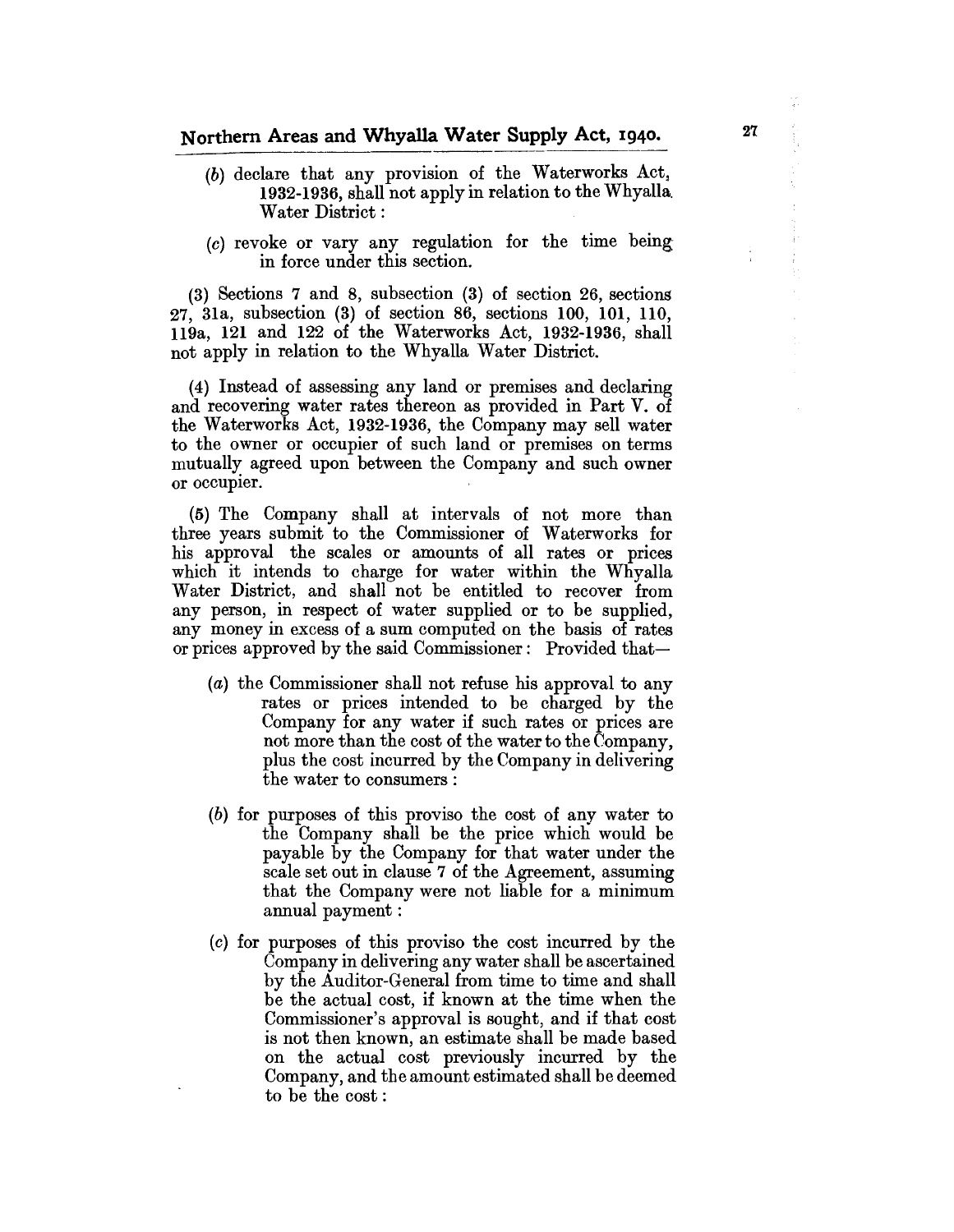- $(b)$  declare that any provision of the Waterworks Act, 1932-1936, shall not apply in relation to the Whyalla. Water District:
- (c) revoke or vary any regulation for the time beingin force under this section.

(3) Sections 7 and 8, subsection (3) of section 26, sections 27, 31a, subsection (3) of section 86, sections 100, 101, 110, 119a, 121 and 122 of the Waterworks Act, 1932-1936, shall not apply in relation to the Whyalla Water District.

(4) Instead of assessing any land or premises and declaring and recovering water rates thereon as provided in Part V. of the Waterworks Act, 1932-1936, the Company may sell water to the owner or occupier of such land or premises on terms mutually agreed upon between the Company and such owner or occupier.

(5) The Company shall at intervals of not more than three years submit to the Commissioner of Waterworks for his approval the scales or amounts of all rates or prices which it intends to charge for water within the Whyalla Water District, and shall not be entitled to recover from any person, in respect of water supplied or to be supplied, any money in excess of a sum computed on the basis of rates or prices approved by the said Commissioner: Provided that-

- (a) the Commissioner shall not refuse his approval to any rates or prices intended to be charged by the Company for any water if such rates or prices are not more than the cost of the water to the Company, plus the cost incurred by the Company in delivering the water to consumers:
- (b) for purposes of this proviso the cost of any water to the Company shall be the price which would be payable by the Company for that water under the scale set out in clause 7 of the Agreement, assuming that the Company were not liable for a minimum annual payment:
- (c) for purposes of this proviso the cost incurred by the Company in delivering any water shall be ascertained by the Auditor-General from time to time and shall be the actual cost, if known at the time when the Commissioner's approval is sought, and if that cost is not then known, an estimate shall be made based on the actual cost previously incurred by the Company, and the amount estimated shall be deemed to be the cost :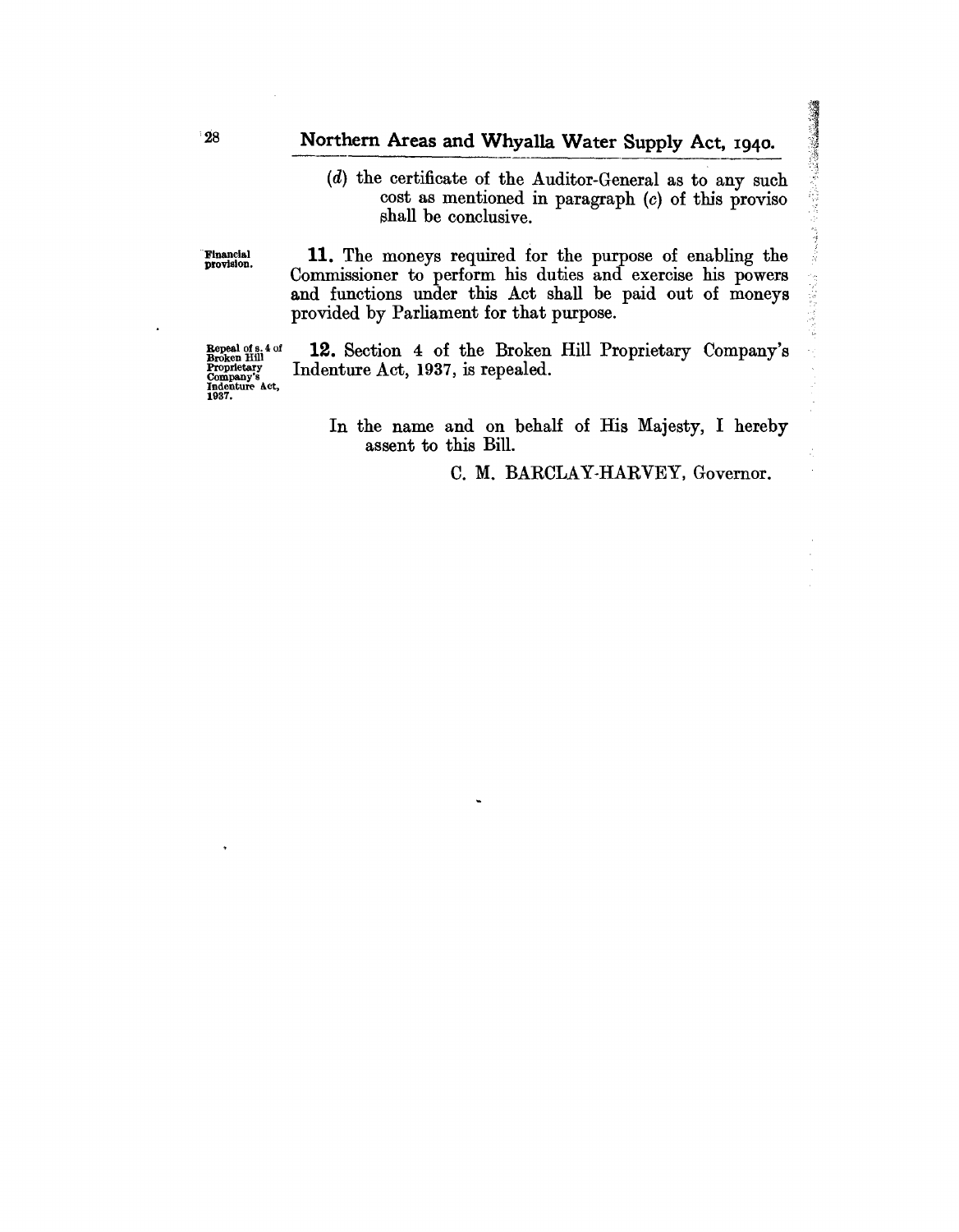# Northern Areas and Whyalla Water Supply Act, 1940.

(d) the certificate of the Auditor-General as to any such  $cost$  as mentioned in paragraph  $(c)$  of this proviso shall be conclusive.

11. The moneys required for the purpose of enabling the Commissioner to perform his duties and exercise his powers and functions under this Act shall be paid out of moneys provided by Parliament for that purpose.

Repeal of s. 4 of<br>Broken Hill<br>Proprietary<br>Company's<br>Indenture Act,<br>1937. 12. Section 4 of the Broken Hill Proprietary Company's Indenture Act, 1937, is repealed.

 $\ddot{\phantom{0}}$ 

In the name and on behalf of His Majesty, I hereby assent to this Bill.

C. M. BARCLAY-HARVEY, Governor.

"Financial provision.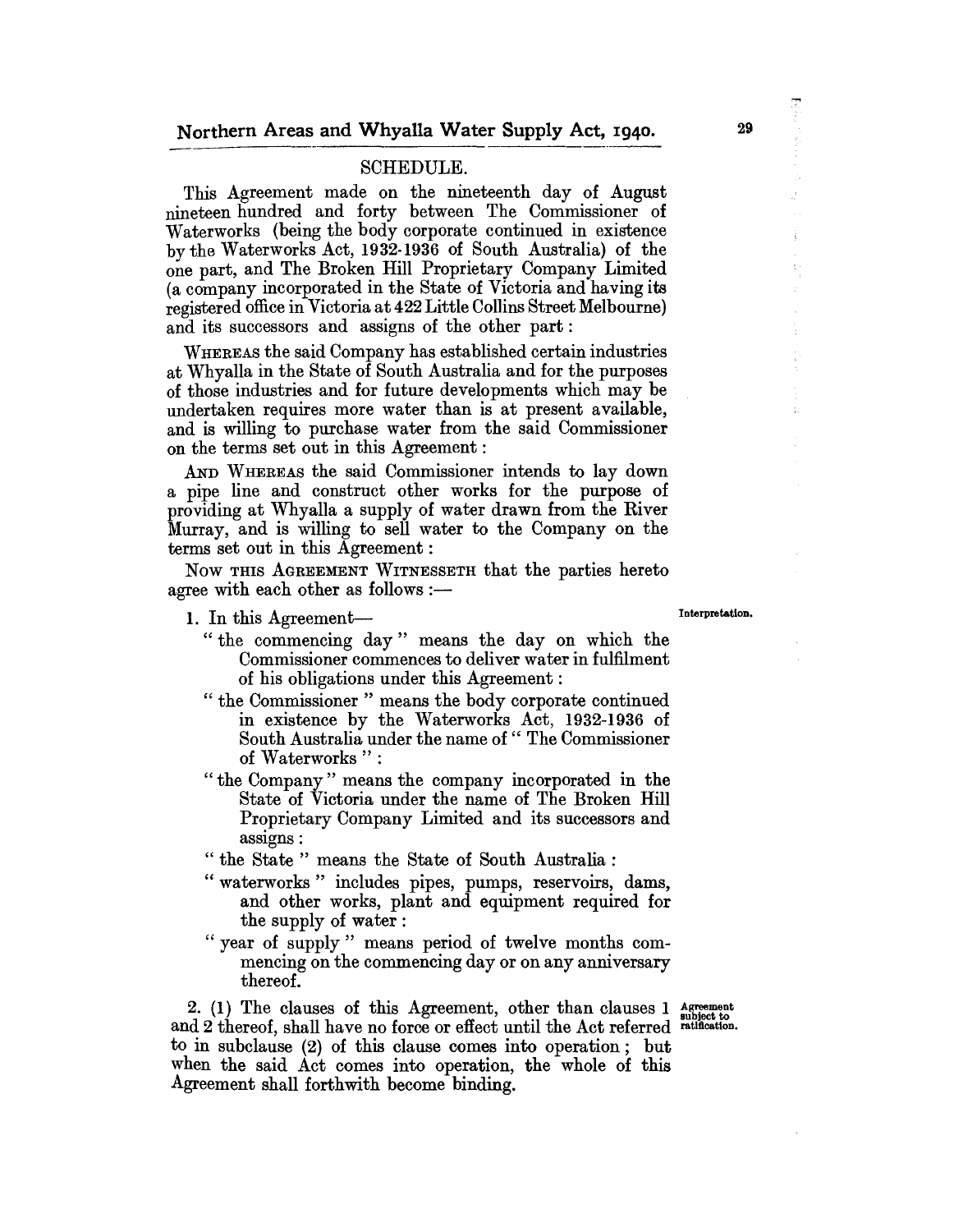### SCHEDULE.

This Agreement made on the nineteenth day of August nineteen hundred and forty between The Commissioner of Waterworks (being the body corporate continued in existence by the Waterworks Act, 1932·1936 of South Australia) of the one part, and The Broken Hill Proprietary Company Limited (a company incorporated in the State of Victoria and having its registered office in Victoria at 422 Little Collins Street Melbourne) and its successors and assigns of the other part:

WHEREAS the said Company has established certain industries at Whyalla in the State of South Australia and for the purposes of those industries and for future developments which may be undertaken requires more water than is at present available, and is willing to purchase water from the said Commissioner on the terms set out in this Agreement:

AND WHEREAS the said Commissioner intends to lay down a pipe line and construct other works for the purpose of providing at Whyalla a supply of water drawn from the River Murray, and is willing to sell water to the Company on the terms set out in this Agreement :

Now THIS AGREEMENT WITNESSETH that the parties hereto agree with each other as follows  $:$ 

- 1. In this Agreement- Interpretation.
	- "the commencing day" means the day on which the Commissioner commences to deliver water in fulfilment of his obligations under this Agreement:
	- " the Commissioner" means the body corporate continued in existence by the Waterworks Act, 1932-1936 of South Australia under the name of " The Commissioner of Waterworks":
	- " the Company" means the company incorporated in the State of Victoria under the name of The Broken Hill Proprietary Company Limited and its successors and assigns:

"the State" means the State of South Australia:

- " waterworks" includes pipes, pumps, reservoirs, dams, and other works, plant and equipment required for the supply of water:
- " year of supply" means period of twelve months commencing on the commencing day or on any anniversary thereof.

2. (1) The clauses of this Agreement, other than clauses  $1$  agreement and 2 thereof, shall have no force or effect until the Act referred ratification. to in subclause (2) of this clause comes into operation; but when the said Act comes into operation, the whole of this Agreement shall forthwith become binding.

29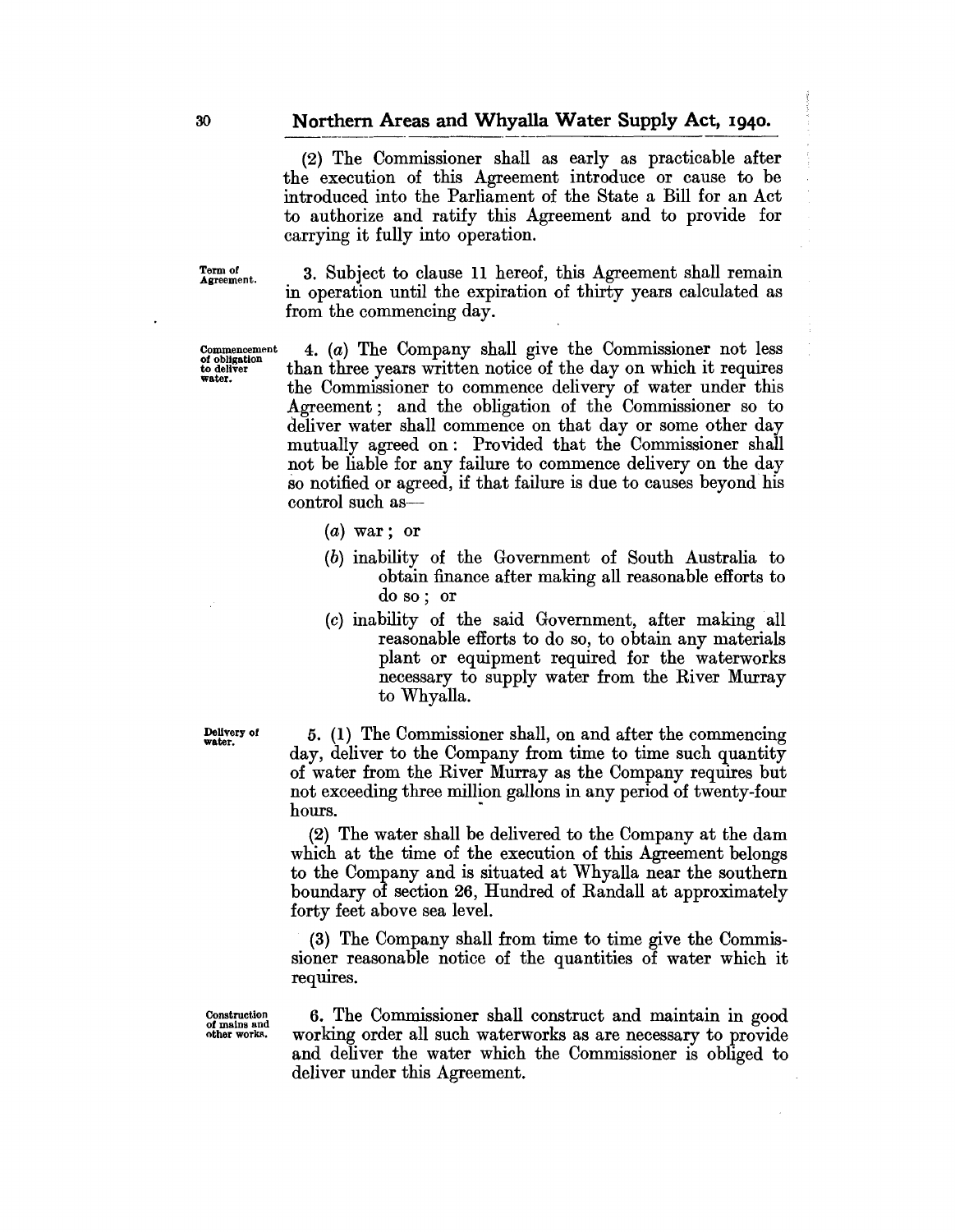#### **Northern Areas and Whyalla Water Supply Act, 1940.**

(2) The Commissioner shall as early as practicable after the execution of this Agreement introduce or cause to be introduced into the Parliament of the State a Bill for an Act to authorize and ratify this Agreement and to provide for carrying it fully into operation.

Term of<br>Agreement.

Commencement of obligation to deliver water.

3. Subject to clause 11 hereof, this Agreement shall remain in operation until the expiration of thirty years calculated as from the commencing day.

4. (a) The Company shall give the Commissioner not less than three years written notice of the day on which it requires the Commissioner to commence delivery of water under this Agreement; and the obligation of the Commissioner so to deliver water shall commence on that day or some other day mutually agreed on: Provided that the Commissioner shall not be liable for any failure to commence delivery on the day so notified or agreed, if that failure is due to causes beyond his control such as-

- $(a)$  war; or
- (b) inability of the Government of South Australia to obtain finance after making all reasonable efforts to do so; or
- (c) inability of the said Government, after making all reasonable efforts to do so, to obtain any materials plant or equipment required for the waterworks necessary to supply water from the River Murray to Whyalla.

Delivery of water.

5. (1) The Commissioner shall, on and after the commencing day, deliver to the Company from time to time such quantity of water from the River Murray as the Company requires but not exceeding three million gallons in any period of twenty-four hours.

(2) The water shall be delivered to the Company at the dam which at the time of the execution of this Agreement belongs to the Company and is situated at Whyalla near the southern boundary of section 26, Hundred of Randall at approximately forty feet above sea level.

(3) The Company shall from time to time give the Commissioner reasonable notice of the quantities of water which it requires.

Construction of mains and other works.

6. The Commissioner shall construct and maintain in good working order all such waterworks as are necessary to provide and deliver the water which the Commissioner is obliged to deliver under this Agreement.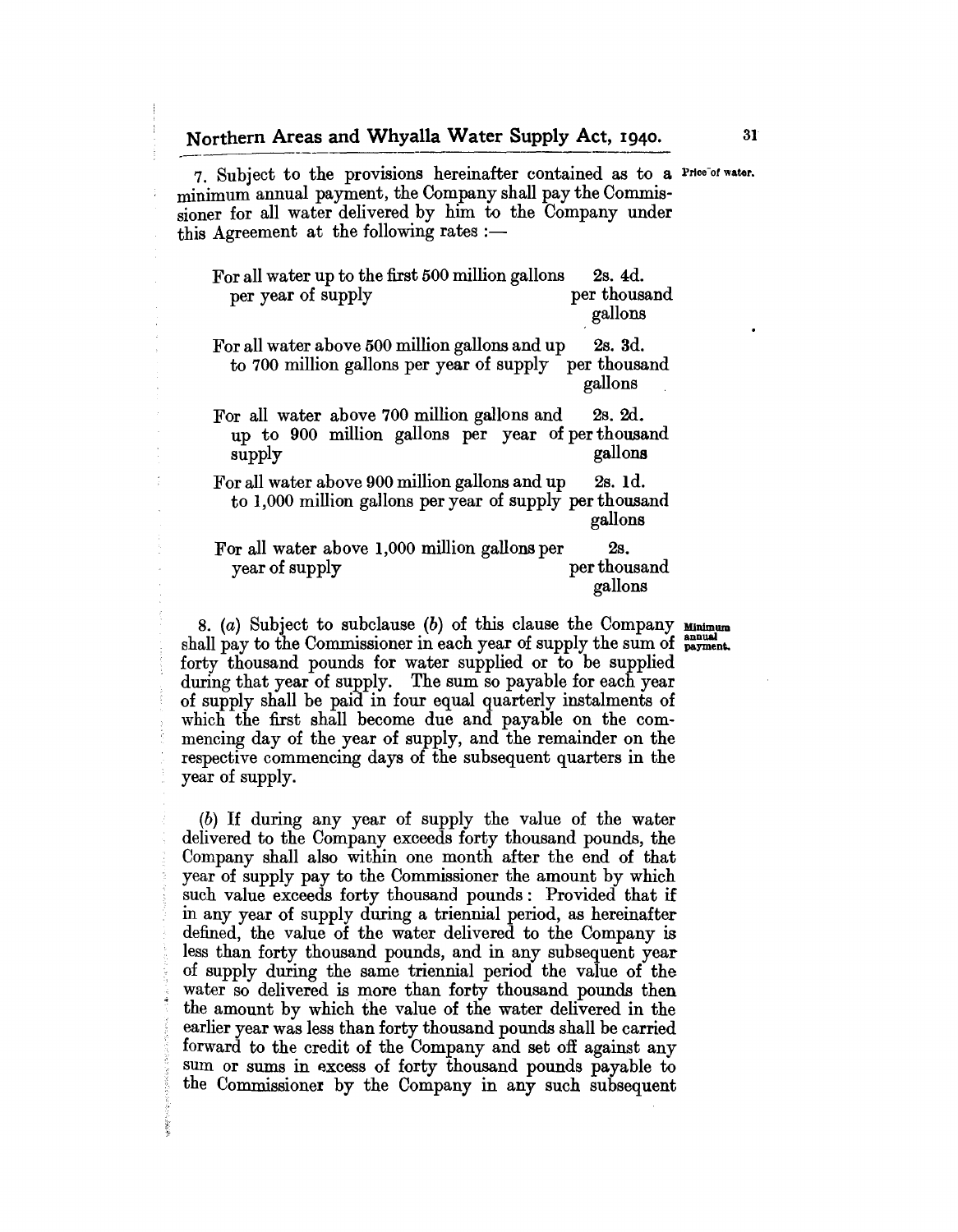7. Subject to the provisions hereinafter contained as to a Price of water. minimum annual payment, the Company shall pay the Commissioner for all water delivered by him to the Company under this Agreement at the following rates :-

For all water up to the first 500 million gallons 2s. 4d. per year of supply per thousand gallons

For all water above 500 million gallons and up 2s. 3d. to 700 million gallons per year of supply per thousand gallons

For all water above 700 million gallons and 2s. 2d. up to 900 million gallons per year of per thousand supply gallons

For all water above 900 million gallons and up 2s. Id. to 1,000 million gallons per year of supply perthousand gallons

For all water above 1,000 million gallons per 2s.<br>year of supply per thousand year of supply gallons

8. (a) Subject to subclause (b) of this clause the Company  $\mathbf{M}_{\text{minum}}$ shall pay to the Commissioner in each year of supply the sum of  $_{\text{payment}}$ . forty thousand pounds for water supplied or to be supplied during that year of supply. The sum so payable for each year of supply shall be paid in four equal quarterly instalments of which the first shall become due and payable on the commencing day of the year of supply, and the remainder on the respective commencing days of the subsequent quarters in the year of supply.

(b) If during any year of supply the value of the water delivered to the Company exceeds forty thousand pounds, the Company shall also within one month after the end of that year of supply pay to the Commissioner the amount by which such value exceeds forty thousand pounds: Provided that if in any year of supply during a triennial period, as hereinafter defined, the value of the water delivered to the Company is less than forty thousand pounds, and in any subsequent year of supply during the same triennial period the value of the . water so delivered is more than forty thousand pounds then • the amount by which the value of the water delivered in the earlier year was less than forty thousand pounds shall be carried forward to the credit of the Company and set off against any sum or sums in excess of forty thousand pounds payable to the Commissioner by the Company in any such subsequent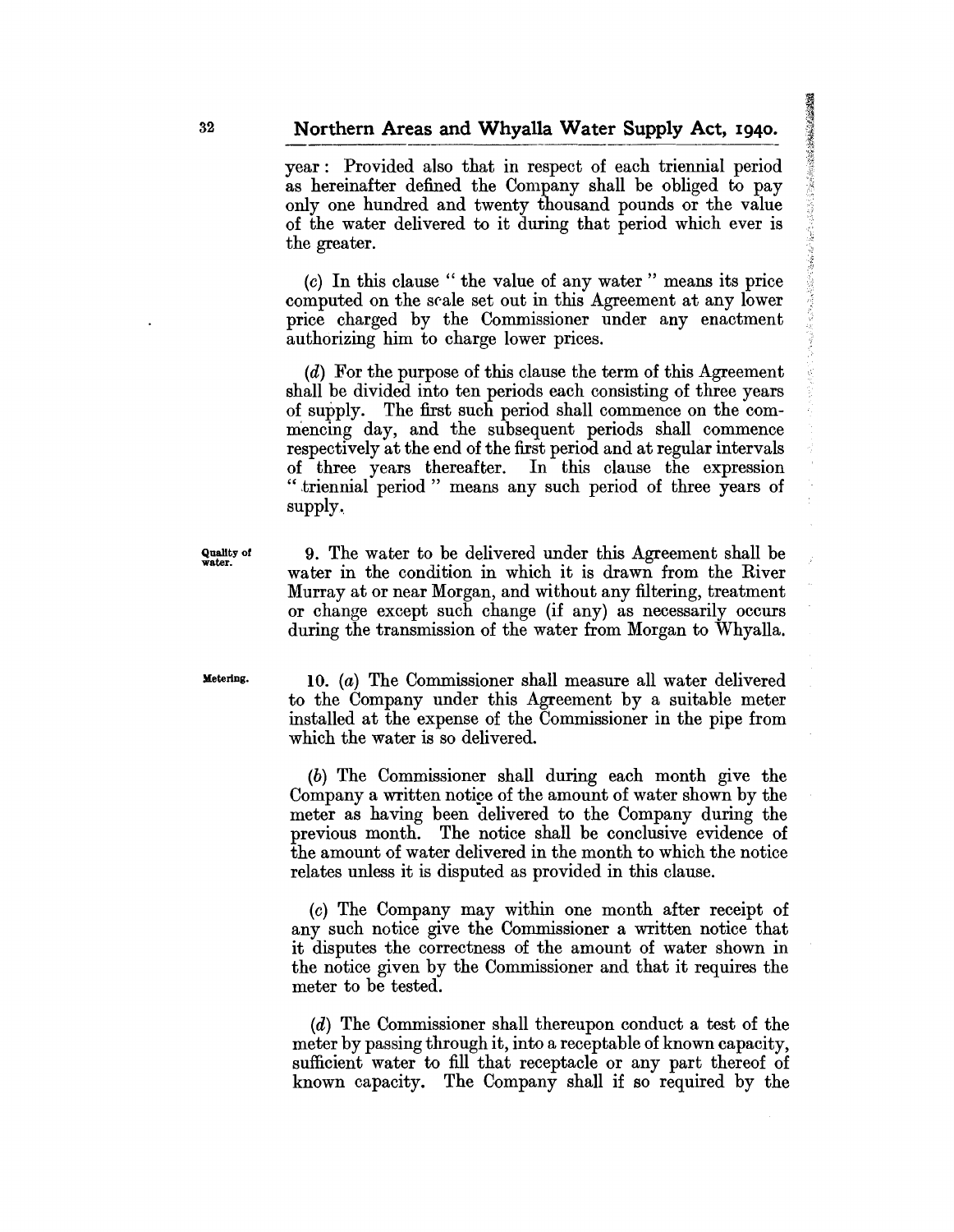year: Provided also that in respect of each triennial period as hereinafter defined the Company shall be obliged to pay only one hundred and twenty thousand pounds or the value of the water delivered to it during that period which ever is the greater.

(0) In this clause" the value of any water" means its price computed on the seale set out in this Agreement at any lower price charged by the Commissioner under any enactment authorizing him to charge lower prices.

(d) For the purpose of this clause the term of this Agreement shall be divided into ten periods each consisting of three years of supply. The first such period shall commence on the commencing day, and the subsequent periods shall commence respectively at the end of the first period and at regular intervals of three years thereafter. In this clause the expression "triennial period" means any such period of three years of supply.

9. The water to be delivered under this Agreement shall be water in the condition in which it is drawn from the River Murray at or near Morgan, and without any filtering, treatment or change except such change (if any) as necessarily occurs during the transmission of the water from Morgan to Whyalla.

Metering.

Quality or water.

10. (a) The Commissioner shall measure all water delivered to the Company under this Agreement by a suitable meter installed at the expense of the Commissioner in the pipe from which the water is so delivered.

(b) The Commissioner shall during each month give the Company a written notige of the amount of water shown by the meter as having been delivered to the Company during the previous month. The notice shall be conclusive evidence of the amount of water delivered in the month to which the notice relates unless it is disputed as provided in this clause.

(0) The Company may within one month after receipt of any such notice give the Commissioner a written notice that it disputes the correctness of the amount of water shown in the notice given by the Commissioner and that it requires the meter to be tested.

(d) The Commissioner shall thereupon conduct a test of the meter by passing through it, into a receptable of known capacity, sufficient water to fill that receptacle or any part thereof of known capacity. The Company shall if so required by the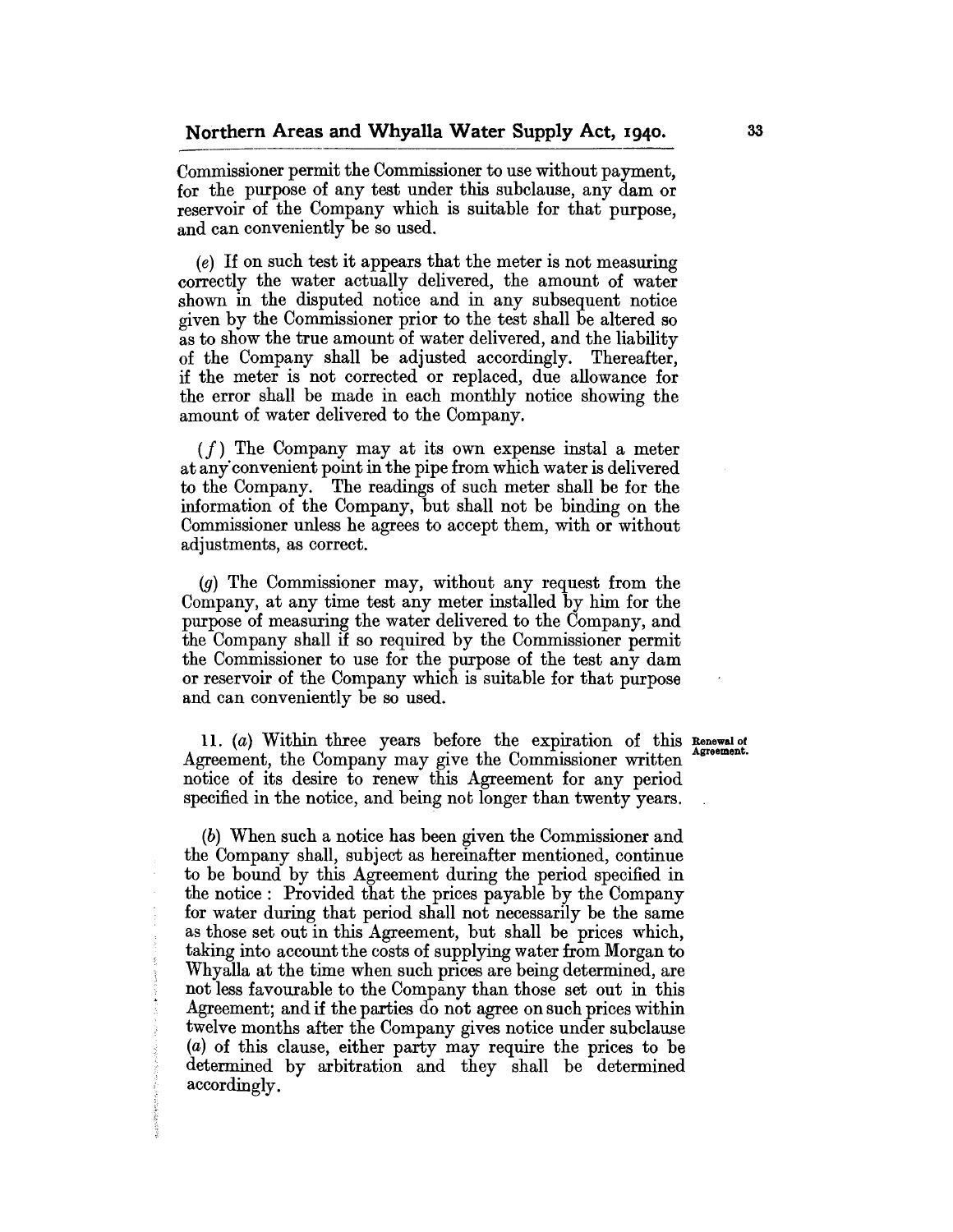Commissioner permit the Commissioner to use without payment, for the purpose of any test under this subclause, any dam or reservoir of the Company which is suitable for that purpose, and can conveniently be so used.

(e) If on such test it appears that the meter is not measuring correctly the water actually delivered, the amount of water shown in the disputed notice and in any subsequent notice given by the Commissioner prior to the test shall be altered so as to show the true amount of water delivered, and the liability of the Company shall be adjusted accordingly. Thereafter, if the meter is not corrected or replaced, due allowance for the error shall be made in each monthly notice showing the amount of water delivered to the Company.

 $(f)$  The Company may at its own expense instal a meter at any"convenient point in the pipe from which water is delivered to the Company. The readings of such meter shall be for the information of the Company, but shall not be binding on the Commissioner unless he agrees to accept them, with or without adjustments, as correct.

(g) The Commissioner may, without any request from the Company, at any time test any meter installed by him for the purpose of measuring the water delivered to the Company, and the Company shall if so required by the Commissioner permit the Commissioner to use for the purpose of the test any dam or reservoir of the Company which is suitable for that purpose and can conveniently be so used.

11. (a) Within three years before the expiration of this Renewal of Agreement, the Company may give the Commissioner written notice of its desire to renew this Agreement for any period specified in the notice, and being not longer than twenty years.

(b) When such a notice has been given the Commissioner and the Company shall, subject as hereinafter mentioned, continue to be bound by this Agreement during the period specified in the notice: Provided that the prices payable by the Company for water during that period shall not necessarily be the same as those set out in this Agreement, but shall be prices which, taking into account the costs of supplying water from Morgan to Whyalla at the time when such prices are being determined, are not less favourable to the Company than those set out in this Agreement; and if the parties do not agree on such prices within twelve months after the Company gives notice under subclause (a) of this clause, either party may require the prices to be determined by arbitration and they shall be determined accordingly.